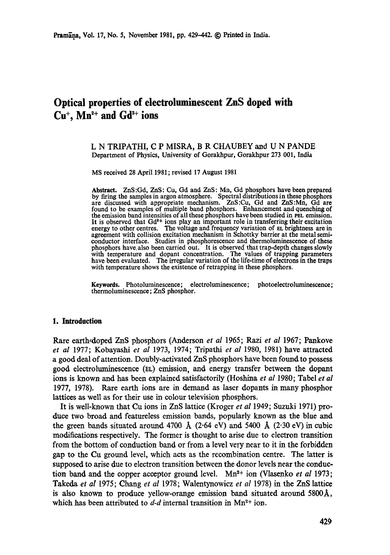# **Optical properties of electroluminescent ZnS doped with**   $Cu<sup>+</sup>$ . Mn<sup>2+</sup> and  $Gd<sup>3+</sup>$  ions

## **L N TRIPATHI, C P MISRA, B R CHAUBEY and U N** PANDE Department of Physics, University of Gorakhpur, Gorakhpur 273 001, India

MS received 28 April 1981 ; revised 17 August 1981

Abstract. ZnS:Gd, ZnS: Cu, Gd and ZnS: Mn, Gd phosphors have been prepared by firing the samples in argon atmosphere. Spectral distributions in these phosphors are discussed with appropriate mechanism. ZnS:Cu, Gd and ZnS:Mn, Gd are found to be examples of multiple band phosphors. Enhancement and quenching of the emission band intensities of all these phosphors have been studied in PEL emission. It is observed that Gd<sup>\*+</sup> ions play an important role in transferring their excitation energy to other ccntres. The voltage and frequency variation of EL brightness are in agreement with collision excitation mechanism in Schottky barrier at the metal semiconductor interface. Studies in phosphorescence and thermoluminesccnce of-these phosphors have, also been carried out. It is observed that trap-depth changes slowly with temperature and dopant concentration. The values of trapping parameters have been evaluated. The irregular variation of the life-time of electrons in the traps with temperature shows the existence of retrapping in these phosphors.

Keywords. Photoluminescence; electroluminescence; photoelectroluminescence; thermoluminescence; ZnS phosphor.

#### **1. Introduction**

Rare earth,doped ZnS phosphors (Anderson *et al* 1965; Razi *et aI* 1967; Pankove *et al* 1977; Kobayashi *et al* 1973, 1974; Tripathi *et al* 1980, 1981) have attracted a good deal of attention. Doubly-activated ZnS phosphors have been found to possess good electroluminescence (EL) emission, and energy transfer between the dopant ions is known and has been explained satisfactorily (Hoshina et al 1980; Tabel et al 1977, 1978). Rare earth ions are in demand as laser dopants in many phosphor lattices as well as for their use in colour television phosphors.

It is well-known that Cu ions in ZnS lattice (Kroger *et al* 1949; Suzuki 1971) prodace two broad and featureless emission bands, popularly known as the blue and the green bands situated around 4700  $\AA$  (2.64 eV) and 5400  $\AA$  (2.30 eV) in cubic modifications respectively. The former is thought to arise due to electron transition from the bottom of conduction band or from a level very near to it in the forbidden gap to the Cu ground level, which acts as the recombination centre. The latter is supposed to arise due to electron transition between the donor levels near the conduction band and the copper acceptor ground level. Mn<sup>2+</sup> ion (Vlasenko *et al* 1973; Takeda *et al* 1975; Chang *et al* 1978; Walentynowicz *et al* 1978) in the ZnS lattice is also known to produce yellow-orange emission band situated around 5800A, which has been attributed to  $d-d$  internal transition in Mn<sup>2+</sup> ion.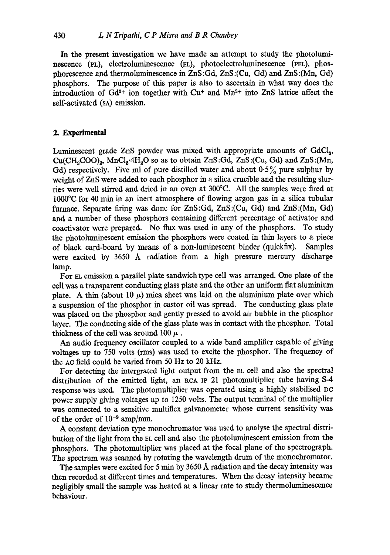In the present investigation we have made an attempt to study the photoluminescence (PL), electroluminescence (EL), photoelectroluminescence (PEL), phosphorescence and thermoluminescence in ZnS :Gd, ZnS:(Cu, Gd) and ZnS:(Mn, Gd) phosphors. The purpose of this paper is also to ascertain in what way does the introduction of  $Gd^{3+}$  ion together with  $Cu^{+}$  and  $Mn^{2+}$  into ZnS lattice affect the self-activated (SA) emission.

## **2. Experimental**

Luminescent grade ZnS powder was mixed with appropriate amounts of GdCl<sub>3</sub>,  $Cu(CH<sub>3</sub>COO)<sub>2</sub>$ , MnCl<sub>2</sub>·4H<sub>2</sub>O so as to obtain ZnS:Gd, ZnS:(Cu, Gd) and ZnS:(Mn, Gd) respectively. Five ml of pure distilled water and about  $0.5\%$  pure sulphur by weight of ZnS were added to each phosphor in a silica crucible and the resulting slurries were well stirred and dried in an oven at 300°C. All the samples were fired at  $1000^{\circ}$ C for 40 min in an inert atmosphere of flowing argon gas in a silica tubular furnace. Separate firing was done for ZnS:Gd, ZnS:(Cu, Gd) and ZnS:(Mn, Gd) and a number of these phosphors containing different percentage of activator and coactivator were prepared. No flux was used in any of the phosphors. To study the photoluminescent emission the phosphors were coated in thin layers to a piece of black card-board by means of a non-luminescent binder (quickfix). Samples were excited by  $3650$  Å radiation from a high pressure mercury discharge lamp.

For EL emission a parallel plate sandwich type cell was arranged. One plate of the cell was a transparent conducting glass plate and the other an uniform flat aluminium plate. A thin (about 10  $\mu$ ) mica sheet was laid on the aluminium plate over which a suspension of the phosphor in castor oil was spread. The conducting glass plate was placed on the phosphor and gently pressed to avoid air bubble in the phosphor layer. The conducting side of the glass plate was in contact with the phosphor. Total thickness of the cell was around 100  $\mu$ .

An audio frequency oscillator coupled to a wide band amplifier capable of giving voltages up to 750 volts (rms) was used to excite the phosphor. The frequency of the AC field could be varied from 50 Hz to 20 kHz.

For detecting the intergrated light output from the EL cell and also the spectral distribution of the emitted light, an RCA IP 21 photomultiplier tube having S-4 response was used. The photomultiplier was operated using a highly stabilised DC power supply giving voltages up to 1250 volts. The output terminal of the multiplier was connected to a sensitive multiflex galvanometer whose current sensitivity was of the order of  $10^{-9}$  amp/mm.

A constant deviation type monochromator was used to analyse the spectral distribution of the light from the EL cell and also the photoluminescent emission from the phosphors. The photomultiplier was placed at the focal plane of the spectrograph. The spectrum was scanned by rotating the wavelength drum of the monochromator.

The samples were excited for 5 min by 3650 Å radiation and the decay intensity was then recorded at different times and temperatures. When the decay intensity became negligibly small the sample was heated at a linear rate to study thermoluminescence behaviour.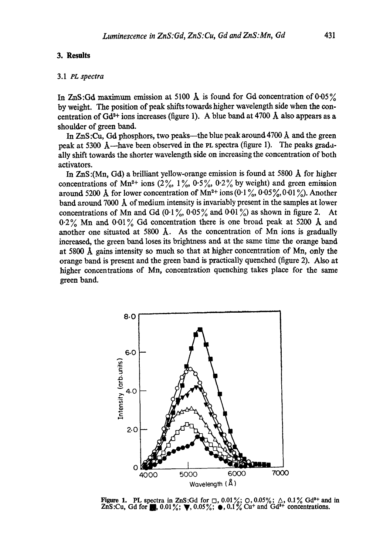## **3. Results**

## 3.1 *PL spectra*

In ZnS:Gd maximum emission at 5100  $\AA$  is found for Gd concentration of 0.05% by weight. The position of peak shifts towards higher wavelength side when the concentration of  $Gd^{3+}$  ions increases (figure 1). A blue band at 4700 Å also appears as a shoulder of green band.

In ZnS:Cu, Gd phosphors, two peaks---the blue peak around 4700 Å and the green peak at 5300  $\AA$ —have been observed in the PL spectra (figure 1). The peaks gradually shift towards the shorter wavelength side on increasing the concentration of both activators.

In ZnS:(Mn, Gd) a brilliant yellow-orange emission is found at 5800 A for higher concentrations of Mn<sup>2+</sup> ions (2%, 1%, 0.5%, 0.2% by weight) and green emission around 5200 Å for lower concentration of Mn<sup>2+</sup> ions  $(0.1\%, 0.05\%, 0.01\%)$ . Another band around 7000  $\AA$  of medium intensity is invariably present in the samples at lower concentrations of Mn and Gd  $(0.1\% \, 0.05\%$  and  $0.01\%)$  as shown in figure 2. At  $0.2\%$  Mn and  $0.01\%$  Gd concentration there is one broad peak at 5200 Å and another one situated at 5800  $\AA$ . As the concentration of Mn ions is gradually increased, the green band loses its brightness and at the same time the orange band at 5800 A gains intensity so much so that at higher concentration of Mn, only the orange band is present and the green band is practically quenched (figure 2). Also at higher concentrations of Mn, concentration quenching takes place for the same green band.



Figure 1. PL spectra in ZnS:Gd for  $\Box$ , 0.01%;  $\Diamond$ , 0.05%;  $\Diamond$ , 0.1% Gd<sup>3+</sup> and in  $ZnS:Cu$ , Gd for  $\blacksquare$ , 0.01%;  $\nabla$ , 0.05%;  $\bullet$ , 0.1% Cu<sup>+</sup> and Gd<sup>3+</sup> concentrations.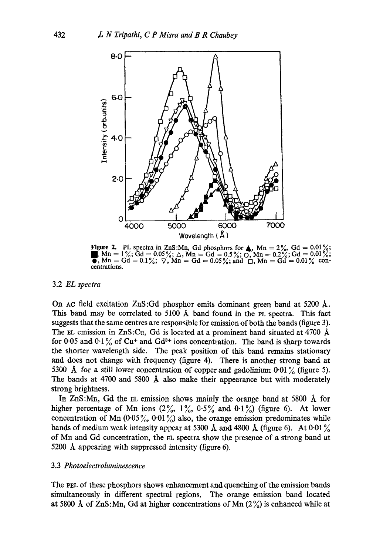

Figure 2. PL spectra in ZnS:Mn, Gd phosphors for  $\blacktriangle$ , Mn = 2%, Gd = 0.01%;  $\blacksquare$ , Mn = 1%; Gd = 0.05%;  $\triangle$ , Mn = Gd = 0.5%;  $\overline{O}$ , Mn = 0.2%; Gd = 0.01%; **e**,  $Mn = Gd = 0.1\%; \ \nabla$ ,  $Mn = Gd = 0.05\%;$  and  $\Box$ ,  $Mn = Gd = 0.01\%$  coneentrations.

#### 3.2 *EL spectra*

On Ac field excitation ZnS:Gd phosphor emits dominant green band at 5200  $\AA$ . This band may be correlated to 5100  $\AA$  band found in the PL spectra. This fact suggests that the same centres are responsible for emission of both the bands (figure 3). The EL emission in  $ZnS$ :Cu, Gd is located at a prominent band situated at 4700  $\AA$ for 0.05 and 0.1% of Cu<sup>+</sup> and Gd<sup>3+</sup> ions concentration. The band is sharp towards the shorter wavelength side. The peak position of this band remains stationary and does not change with frequency (figure 4). There is another strong band at 5300 Å for a still lower concentration of copper and gadolinium  $0.01\%$  (figure 5). The bands at 4700 and 5800  $\AA$  also make their appearance but with moderately strong brightness.

In  $ZnS:Mn$ , Gd the EL emission shows mainly the orange band at 5800  $\AA$  for higher percentage of Mn ions  $(2\%, 1\%, 0.5\%$  and  $0.1\%)$  (figure 6). At lower concentration of Mn (0.05%, 0.01%) also, the orange emission predominates while bands of medium weak intensity appear at 5300 Å and 4800 Å (figure 6). At 0.01 $\frac{9}{6}$ of Mn and Gd concentration, the EL spectra show the presence of a strong band at 5200 A appearing with suppressed intensity (figure 6).

#### 3.3 *Photoelectroluminescence*

The PEL of these phosphors shows enhancement and quenching of the emission bands simultaneously in different spectral regions. The orange emission band located at 5800 Å of ZnS:Mn, Gd at higher concentrations of Mn  $(2\%)$  is enhanced while at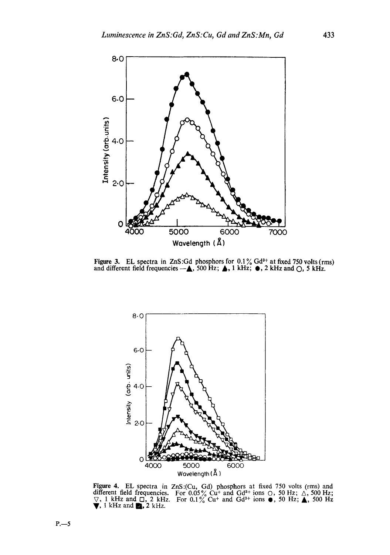

Figure 3. EL spectra in ZnS: Gd phosphors for  $0.1\%$  Gd<sup>3+</sup> at fixed 750 volts (rms) and different field frequencies  $-\triangle$ , 500 Hz;  $\triangle$ , 1 kHz;  $\bullet$ , 2 kHz and  $\bigcirc$ , 5 kHz.



Figure 4. EL spectra in ZnS:(Cu, Gd) phosphors at fixed 750 volts (rms) and different field frequencies. For 0.05% Cu<sup>+</sup> and Gd<sup>3+</sup> ions  $\circ$ , 50 Hz;  $\wedge$ , 500 Hz;  $\triangledown$ , 1 kHz and  $\Box$ , 2 kHz. For 0.1% Cu<sup>+</sup> and Gd<sup>3+</sup> ions  $\bullet$ , 50 Hz;  $\blacktriangle$ , 500 Hz  $\blacktriangledown$ , 1 kHz and  $\blacksquare$ , 2 kHz.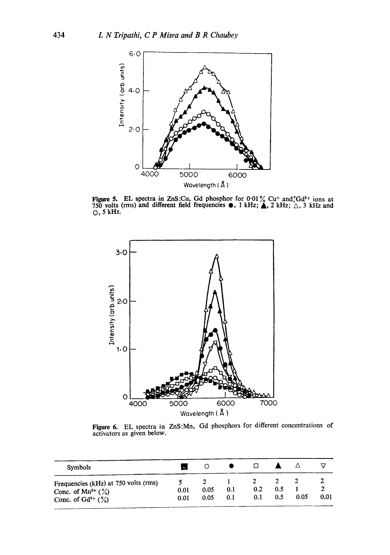

Figure 5. EL spectra in ZnS: Cu, Gd phosphor for  $0.01\%$  Cu<sup>+</sup> and, Gd<sup>3+</sup> ions at **750 volts (rms) and different field frequencies**  $\bullet$ **, 1 kHz;**  $\triangle$ **, 2 kHz;**  $\triangle$ , 3 kHz and **O, 5 kHz.** 



Figure 6. EL spectra in ZnS:Mn, Gd phosphors for different concentrations of activators as given below.

| <b>Symbols</b>                                                                                     |              |              |            |            |            |      |      |
|----------------------------------------------------------------------------------------------------|--------------|--------------|------------|------------|------------|------|------|
| Frequencies (kHz) at 750 volts (rms)<br>Conc. of Mn <sup>2+</sup> $(\%)$<br>Conc. of $Gd^{3+}(\%)$ | 0.01<br>0.01 | 0.05<br>0.05 | 0.1<br>0.1 | 0.2<br>0.1 | 0.5<br>0.5 | 0.05 | 0.01 |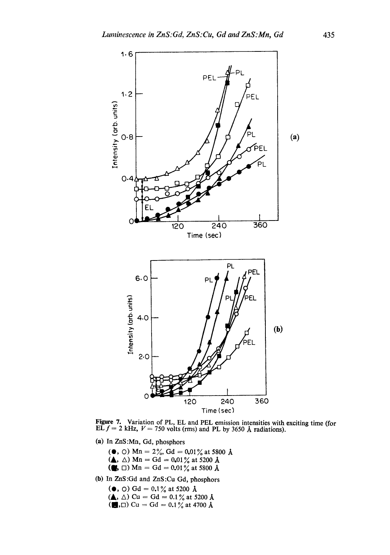

Figure 7. Variation of PL, EL and PEL emission intensities with exciting time (for EL  $f = 2$  kHz,  $V = 750$  volts (rms) and PL by 3650 Å radiations).

- (a) In ZnS:Mn, Gd, phosphors
	- ( $\bullet$ , O) Mn = 2%, Gd = 0.01% at 5800 Å
	- ( $\triangle$ ,  $\triangle$ ) Mn = Gd = 0.01% at 5200 Å
	- ( $\blacksquare$ ,  $\square$ ) Mn = Gd = 0.01% at 5800 Å
- **(b)** In ZnS:Gd and ZnS:Cu Gd, phosphors

( $\bullet$ , O) Gd = 0.1% at 5200 Å

- $({\blacktriangle}, \triangle)$  Cu = Gd = 0.1% at 5200 Å
- $\left(\blacksquare,\square\right)$  Cu = Gd = 0.1% at 4700 Å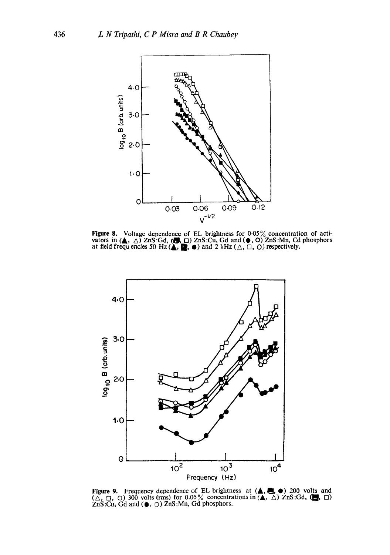

**8.** Voltage dependence of EL brightness for 0.05% concentration of action is in  $(A, \triangle)$  ZnS:Gd,  $(B, \square)$  ZnS:Cu, Gd and  $(\bullet, \bigcirc)$  ZnS:Mn, Cd phosphores dd frequencies 50 Hz $(A, \square, \bullet)$  and 2 kHz $(\triangle, \square, \bigcirc)$  respectively.



Figure 9. Frequency dependence of EL brightness at  $(\triangle, \triangle, \triangle)$  200 volts an  $(\triangle, \square, \square)$  300 volts (rms) for 0.05% concentrations in  $(\triangle, \triangle)$  ZnS:Gd,  $(\square, \square)$ <br>ZnS:Cu Gd and  $(\triangle, \cap)$  ZnS:Mn Gd phosphors.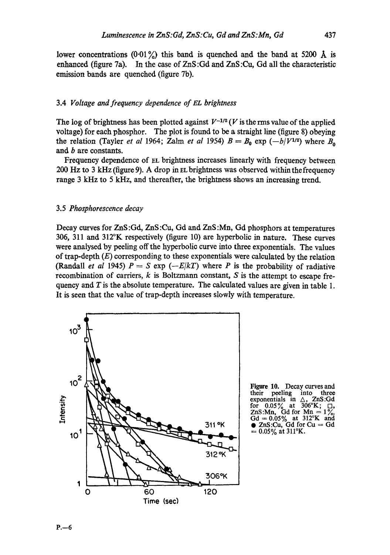lower concentrations (0.01%) this band is quenched and the band at 5200  $\AA$  is enhanced (figure 7a). In the case of ZnS :Gd and ZnS :Cu, Gd all the characteristic emission bands are quenched (figure 7b).

# 3.4 *Voltage and frequency dependence of EL brightness*

The log of brightness has been plotted against  $V^{-1/2}$  (V is the rms value of the applied voltage) for each phosphor. The plot is found to be a straight line (figure 8) obeying the relation (Tayler *et al* 1964; Zalm *et al* 1954)  $B = B_0 \exp(-b/V^{1/2})$  where  $B_0$ and b are constants.

Frequency dependence of EL brightness increases linearly with frequency between 200 Hz to 3 kHz (figure 9). A drop in EL brightness was observed within the frequency range 3 kHz to 5 kHz, and thereafter, the brightness shows an increasing trend.

# 3.5 *Phosphorescence decay*

Decay curves for ZnS:Gd, ZnS:Cu, Gd and ZnS:Mn, Gd phosphors at temperatures 306, 311 and 312°K respectively (figure 10) are hyperbolic in nature. These curves were analysed by peeling off the hyperbolic curve into three exponentials. The values of trap-depth  $(E)$  corresponding to these exponentials were calculated by the relation (Randall *et al* 1945)  $P = S \exp(-E/kT)$  where P is the probability of radiative recombination of carriers,  $k$  is Boltzmann constant,  $S$  is the attempt to escape frequency and  $T$  is the absolute temperature. The calculated values are given in table 1. It is seen that the value of trap-depth increases slowly with temperature.



Figure 10. Decay curves and<br>their peeling into three peeling into three<br>ntials in  $\triangle$ , ZnS:Gd exponentials in  $\triangle$ , ZnS<br>for 0.05% at 306°K; for  $0.05\%$  at 306°K;  $\Box$ , ZnS:Mn, Gd for Mn =  $1\frac{8}{10}$ ,  $Gd = 0.05\%$  at 312°K and •  $ZnS:Cu$ , Gd for  $Cu = Gd$  $= 0.05\%$  at 311°K.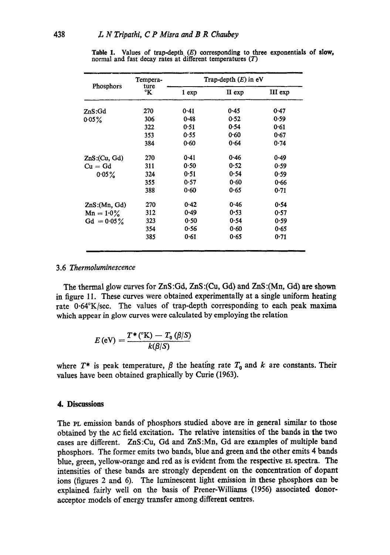| Phosphors     | Tempera-   | Trap-depth $(E)$ in eV |        |         |  |
|---------------|------------|------------------------|--------|---------|--|
|               | ture<br>°K | 1 exp                  | II exp | III exp |  |
| ZnS:Gd        | 270        | 0.41                   | 0.45   | 0.47    |  |
| $0.05\%$      | 306        | 0.48                   | 0.52   | 0.59    |  |
|               | 322        | 0.51                   | 0.54   | 0.61    |  |
|               | 353        | 0.55                   | 0.60   | 0.67    |  |
|               | 384        | 0.60                   | 0.64   | 0.74    |  |
| ZnS:(Cu, Gd)  | 270        | 0.41                   | 0.46   | 0.49    |  |
| $Cu = Gd$     | 311        | 0.50                   | 0.52   | 0.59    |  |
| $0.05\%$      | 324        | 0.51                   | 0.54   | 0.59    |  |
|               | 355        | 0.57                   | 0.60   | 0.66    |  |
|               | 388        | 0.60                   | 0.65   | 0.71    |  |
| ZnS:(Mn, Gd)  | 270        | 0.42                   | 0.46   | 0.54    |  |
| $Mn = 1.0\%$  | 312        | 0.49                   | 0.53   | 0.57    |  |
| $Gd = 0.05\%$ | 323        | 0.50                   | 0.54   | 0.59    |  |
|               | 354        | 0.56                   | 0.60   | 0.65    |  |
|               | 385        | 0.61                   | 0.65   | 0.71    |  |

**Table 1. Values of trap-depth (E) corresponding to three exponentials of slow,**  normal and fast decay rates at different temperatures (T)

# 3.6 *Thermoluminescence*

The thermal glow curves for ZnS :Gd, ZnS :(Cu, Gd) and ZnS :(Mn, Gd) are shown in figure 11. These curves were obtained experimentally at a single uniform heating rate 0.64°K/see. The values of trap-depth corresponding to each peak maxima which appear in glow curves were calculated by employing the relation

$$
E\left(\mathrm{eV}\right)=\frac{T^{\ast}\left(^{\circ}\mathrm{K}\right)-T_{0}\left(\beta\middle|\mathcal{S}\right)}{k\left(\beta\middle|\mathcal{S}\right)}
$$

where  $T^*$  is peak temperature,  $\beta$  the heating rate  $T_0$  and k are constants. Their values have been obtained graphically by Curie (1963).

# **4. Discussions**

The PL emission bands of phosphors studied above are in general similar to those obtained by the AC field excitation. The relative intensities of the bands in the two cases are different. ZnS:Cu, Gd and ZnS:Mn, Gd are examples of multiple band phosphors. The former emits two bands, blue and green and the other emits 4 bands blue, green, yellow-orange and red as is evident from the respective EL spectra. The intensities of these bands are strongly dependent on the concentration of dopant ions (figures 2 and 6). The luminescent light emission in these phosphors can be explained fairly well on the basis of Prener-Williams (1956) associated **donoracceptor** models of energy transfer among different centres.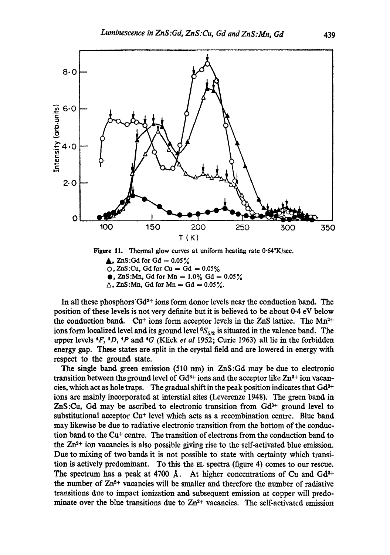

**Figure 11. Thermal glow curves at** uniform heating rate 0.64°K/see.  $\triangle$ , ZnS:Gd for Gd = 0.05%  $\Omega$ , ZnS:Cu, Gd for Cu = Gd = 0.05%  $\bullet$ , ZnS:Mn, Gd for Mn = 1.0% Gd = 0.05%

 $\triangle$ , ZnS:Mn, Gd for Mn = Gd =  $0.05\%$ .

In all these phosphors  $Gd^{3+}$  ions form donor levels near the conduction band. The position of these levels is not very definite but it is believed to be about 0.4 eV below the conduction band. Cu<sup>+</sup> ions form acceptor levels in the ZnS lattice. The Mn<sup>2+</sup> ions form localized level and its ground level  ${}^{6}S_{5/2}$  is situated in the valence band. The upper levels 4F, 4D, 4p and 4G (Klick *et al* 1952; Curie 1963) all lie in the forbidden energy gap. These states are split in the crystal field and are lowered in energy with respect to the ground state.

The single band green emission  $(510 \text{ nm})$  in ZnS:Gd may be due to electronic transition between the ground level of  $Gd^{3+}$  ions and the acceptor like  $Zn^{2+}$  ion vacancies, which act as hole traps. The gradual shift in the peak position indicates that  $Gd^{3+}$ ions are mainly incorporated at interstial sites (Leverenze 1948). The green band in  $ZnS:Cu$ , Gd may be ascribed to electronic transition from  $Gd^{3+}$  ground level to substitutional acceptor Cu\* level which acts as a recombination centre. Blue band may likewise be due to radiative electronic transition from the bottom of the conduction band to the Cu+ centre. The transition of electrons from the conduction band to the  $Zn<sup>2+</sup>$  ion vacancies is also possible giving rise to the self-activated blue emission. Due to mixing of two bands it is not possible to state with certainty which transition is actively predominant. To this the EL spectra (figure 4) comes to our rescue. The spectrum has a peak at 4700  $\AA$ . At higher concentrations of Cu and Gd<sup>3+</sup> the number of  $Zn^{2+}$  vacancies will be smaller and therefore the number of radiative transitions due to impact ionization and subsequent emission at copper will predominate over the blue transitions due to  $Zn^{2+}$  vacancies. The self-activated emission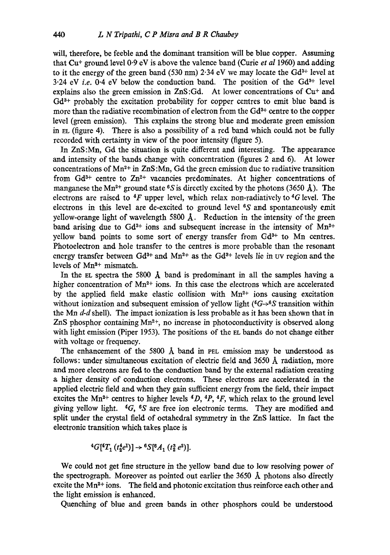will, therefore, be feeble and the dominant transition will be blue copper. Assuming that Cu<sup>+</sup> ground level  $0.9 \text{ eV}$  is above the valence band (Curie *et al* 1960) and adding to it the energy of the green band (530 nm) 2.34 eV we may locate the  $Gd^{3+}$  level at  $3.24$  eV *i.e.*  $0.4$  eV below the conduction band. The position of the Gd<sup>3+</sup> level explains also the green emission in  $ZnS:Gd$ . At lower concentrations of  $Cu<sup>+</sup>$  and  $Gd^{3+}$  probably the excitation probability for copper centres to emit blue band is more than the radiative recombination of electron from the  $Gd<sup>3+</sup>$  centre to the copper level (green emission). This explains the strong blue and moderate green emission in EL (figure 4). There is also a possibility of a red band which could not be fully recorded with certainty in view of the poor intensity (figure 5).

In ZnS:Mn, Gd the situation is quite different and interesting. The appearance and intensity of the bands change with concentration (figures 2 and 6). At lower concentrations of  $Mn^{2+}$  in  $ZnS$ :Mn, Gd the green emission due to radiative transition from  $Gd^{3+}$  centre to  $Zn^{2+}$  vacancies predominates. At higher concentrations of manganese the Mn<sup>2+</sup> ground state <sup>6</sup>S is directly excited by the photons (3650  $\AA$ ). The electrons are raised to  ${}^{4}F$  upper level, which relax non-radiatively to  ${}^{4}G$  level. The electrons in this level are de-excited to ground level  $6S$  and spontaneously emit yellow-orange light of wavelength 5800 A. Reduction in the intensity of the green band arising due to  $Gd^{3+}$  ions and subsequent increase in the intensity of  $Mn^{2+}$ yellow band points to some sort of energy transfer from  $Gd^{3+}$  to Mn centres. Photoelectron and hole transfer to the centres is more probable than the resonant energy transfer between  $Gd^{3+}$  and  $Mn^{2+}$  as the  $Gd^{3+}$  levels lie in UV region and the levels of  $Mn^{2+}$  mismatch.

In the EL spectra the 5800  $\AA$  band is predominant in all the samples having a higher concentration of  $Mn^{2+}$  ions. In this case the electrons which are accelerated by the applied field make elastic collision with  $Mn^{2+}$  ions causing excitation without ionization and subsequent emission of yellow light ( ${}^4G\rightarrow {}^6S$  transition within the Mn *d-d* shell). The impact ionization is less probable as it has been shown that in ZnS phosphor containing  $Mn^{2+}$ , no increase in photoconductivity is observed along with light emission (Piper 1953). The positions of the EL bands do not change either with voltage or frequency.

The enhancement of the 5800  $\AA$  band in PEL emission may be understood as follows: under simultaneous excitation of electric field and 3650 A radiation, more and more electrons are fed to the conduction band by the external radiation creating a higher density of conduction electrons. These electrons are accelerated in the applied electric field and when they gain sufficient energy from the field, their impact excites the Mn<sup>2+</sup> centres to higher levels  ${}^4D, {}^4P, {}^4F$ , which relax to the ground level giving yellow light.  ${}^{4}G$ ,  ${}^{6}S$  are free ion electronic terms. They are modified and split under the crystal field of octahedral symmetry in the ZnS lattice. In fact the electronic transition which takes place is

$$
{}^{4}G[{}^{4}T_{1} (t_{2}^{4}e^{1})] \rightarrow {}^{6}S[{}^{6}A_{1} (t_{2}^{3} e^{2})].
$$

We could not get fine structure in the yellow band due to low resolving power of the spectrograph. Moreover as pointed out earlier the  $3650 \text{ Å}$  photons also directly excite the  $Mn<sup>2+</sup>$  ions. The field and photonic excitation thus reinforce each other and the light emission is enhanced.

Quenching of blue and green bands in other phosphors could be understood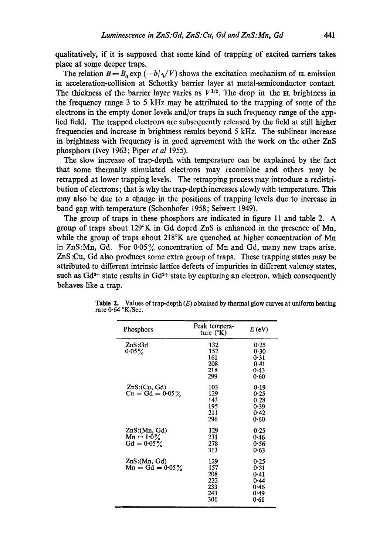qualitatively, if it is supposed that some kind of trapping of excited carriers takes place at some deeper traps.

The relation  $B = B_0 \exp(-b/\sqrt{V})$  shows the excitation mechanism of EL emission in acceleration-collision at Schottky barrier layer at metal-semiconductor contact. The thickness of the barrier layer varies as  $V^{1/2}$ . The drop in the EL brightness in the frequency range 3 to 5 kHz may be attributed to the trapping of some of the electrons in the empty donor levels and/or traps in such frequency range of the applied field. The trapped electrons are subsequently released by the field at still higher frequencies and increase in brightness results beyond 5 kHz. The sublinear increase in brightness with frequency is in good agreement with the work on the other ZnS phosphors (Ivey 1963; Piper *et al* 1955).

The slow increase of trap-depth with temperature can be explained by the fact that some thermally stimulated electrons may recombine and others may be retrapped at lower trapping levels. The retrapping process may introduce a redistribution of electrons; that is why the trap-depth increases slowly with temperature. This may also be due to a change in the positions of trapping levels due to increase in band gap with temperature (Schonhofer 1958; Seiwert 1949).

The group of traps in these phosphors are indicated in figure 11 and table 2. A group of traps about 129°K in Gd doped ZnS is enhanced in the presence of Mn, while the group of traps about 218°K are quenched at higher concentration of Mn in ZnS:Mn, Gd. For  $0.05\%$  concentration of Mn and Gd, many new traps arise. ZnS :Cu, Gd also produces some extra group of traps. These trapping states may be attributed to different intrinsic lattice defects of impurities in different valency states, such as  $Gd^{3+}$  state results in  $Gd^{2+}$  state by capturing an electron, which consequently behaves like a trap.

| Phosphors                                     | Peak tempera-<br>ture $(^{\circ}K)$           | $E$ (eV)                                             |
|-----------------------------------------------|-----------------------------------------------|------------------------------------------------------|
| ZnS:Gd<br>0.05 $\%$                           | 132<br>152<br>161<br>208<br>218<br>299        | 0.25<br>0.30<br>0.31<br>0.41<br>0.43<br>0.60         |
| $ZnS$ : (Cu, Gd)<br>$Cu = Gd = 0.05\%$        | 103<br>129<br>143<br>195<br>211<br>296        | 0.19<br>0.25<br>0.28<br>0.39<br>0.42<br>0.60         |
| ZnS:(Mn, Gd)<br>$Mn = 1.0\%$<br>$Gd = 0.05\%$ | 129<br>231<br>278<br>313                      | 0.25<br>0.46<br>0.56<br>0.63                         |
| ZnS:(Mn, Gd)<br>$Mn = Gd = 0.05\%$            | 129<br>157<br>208<br>222<br>233<br>243<br>301 | 0.25<br>0.31<br>0.41<br>0.44<br>0.46<br>0.49<br>0.61 |

**Table** 2. Values of trap-depth (E) obtained by thermal glow curves at uniform heating rate 0.64 °K/Sec.